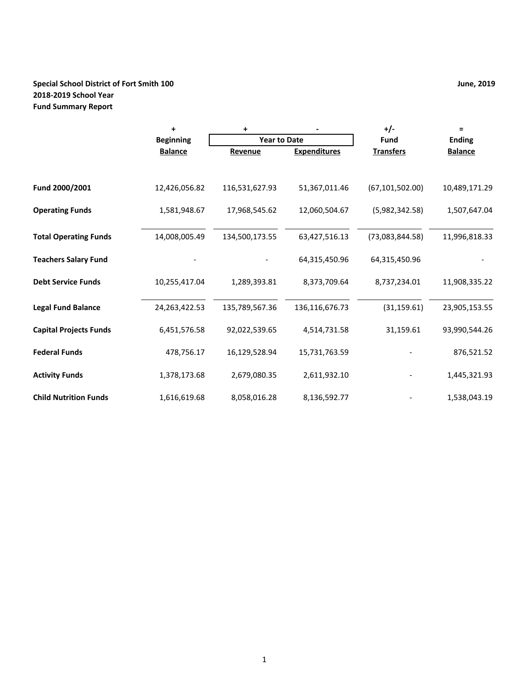## **Special School District of Fort Smith 100 June, 2019 2018-2019 School Year Fund Summary Report**

|                               | $\ddot{}$        | +                   |                     | $+/-$             | Ξ              |
|-------------------------------|------------------|---------------------|---------------------|-------------------|----------------|
|                               | <b>Beginning</b> | <b>Year to Date</b> |                     | <b>Fund</b>       | <b>Ending</b>  |
|                               | <b>Balance</b>   | Revenue             | <b>Expenditures</b> | <b>Transfers</b>  | <b>Balance</b> |
|                               |                  |                     |                     |                   |                |
| Fund 2000/2001                | 12,426,056.82    | 116,531,627.93      | 51,367,011.46       | (67, 101, 502.00) | 10,489,171.29  |
| <b>Operating Funds</b>        | 1,581,948.67     | 17,968,545.62       | 12,060,504.67       | (5,982,342.58)    | 1,507,647.04   |
| <b>Total Operating Funds</b>  | 14,008,005.49    | 134,500,173.55      | 63,427,516.13       | (73,083,844.58)   | 11,996,818.33  |
| <b>Teachers Salary Fund</b>   |                  |                     | 64,315,450.96       | 64,315,450.96     |                |
| <b>Debt Service Funds</b>     | 10,255,417.04    | 1,289,393.81        | 8,373,709.64        | 8,737,234.01      | 11,908,335.22  |
| <b>Legal Fund Balance</b>     | 24,263,422.53    | 135,789,567.36      | 136,116,676.73      | (31, 159.61)      | 23,905,153.55  |
| <b>Capital Projects Funds</b> | 6,451,576.58     | 92,022,539.65       | 4,514,731.58        | 31,159.61         | 93,990,544.26  |
| <b>Federal Funds</b>          | 478,756.17       | 16,129,528.94       | 15,731,763.59       |                   | 876,521.52     |
| <b>Activity Funds</b>         | 1,378,173.68     | 2,679,080.35        | 2,611,932.10        |                   | 1,445,321.93   |
| <b>Child Nutrition Funds</b>  | 1,616,619.68     | 8,058,016.28        | 8,136,592.77        |                   | 1,538,043.19   |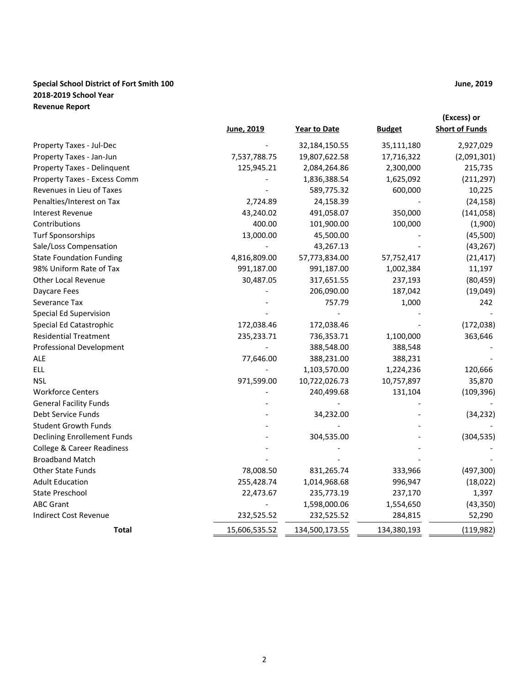## **Special School District of Fort Smith 100 June, 2019 2018-2019 School Year Revenue Report**

|                                       |               |                |               | (Excess) or           |
|---------------------------------------|---------------|----------------|---------------|-----------------------|
|                                       | June, 2019    | Year to Date   | <b>Budget</b> | <b>Short of Funds</b> |
| Property Taxes - Jul-Dec              |               | 32,184,150.55  | 35,111,180    | 2,927,029             |
| Property Taxes - Jan-Jun              | 7,537,788.75  | 19,807,622.58  | 17,716,322    | (2,091,301)           |
| Property Taxes - Delinquent           | 125,945.21    | 2,084,264.86   | 2,300,000     | 215,735               |
| Property Taxes - Excess Comm          |               | 1,836,388.54   | 1,625,092     | (211, 297)            |
| Revenues in Lieu of Taxes             |               | 589,775.32     | 600,000       | 10,225                |
| Penalties/Interest on Tax             | 2,724.89      | 24,158.39      |               | (24, 158)             |
| <b>Interest Revenue</b>               | 43,240.02     | 491,058.07     | 350,000       | (141, 058)            |
| Contributions                         | 400.00        | 101,900.00     | 100,000       | (1,900)               |
| <b>Turf Sponsorships</b>              | 13,000.00     | 45,500.00      |               | (45,500)              |
| Sale/Loss Compensation                |               | 43,267.13      |               | (43, 267)             |
| <b>State Foundation Funding</b>       | 4,816,809.00  | 57,773,834.00  | 57,752,417    | (21, 417)             |
| 98% Uniform Rate of Tax               | 991,187.00    | 991,187.00     | 1,002,384     | 11,197                |
| <b>Other Local Revenue</b>            | 30,487.05     | 317,651.55     | 237,193       | (80, 459)             |
| Daycare Fees                          |               | 206,090.00     | 187,042       | (19,049)              |
| Severance Tax                         |               | 757.79         | 1,000         | 242                   |
| Special Ed Supervision                |               |                |               |                       |
| Special Ed Catastrophic               | 172,038.46    | 172,038.46     |               | (172, 038)            |
| <b>Residential Treatment</b>          | 235,233.71    | 736,353.71     | 1,100,000     | 363,646               |
| <b>Professional Development</b>       |               | 388,548.00     | 388,548       |                       |
| ALE                                   | 77,646.00     | 388,231.00     | 388,231       |                       |
| <b>ELL</b>                            |               | 1,103,570.00   | 1,224,236     | 120,666               |
| <b>NSL</b>                            | 971,599.00    | 10,722,026.73  | 10,757,897    | 35,870                |
| <b>Workforce Centers</b>              |               | 240,499.68     | 131,104       | (109, 396)            |
| <b>General Facility Funds</b>         |               |                |               |                       |
| Debt Service Funds                    |               | 34,232.00      |               | (34, 232)             |
| <b>Student Growth Funds</b>           |               |                |               |                       |
| <b>Declining Enrollement Funds</b>    |               | 304,535.00     |               | (304, 535)            |
| <b>College &amp; Career Readiness</b> |               |                |               |                       |
| <b>Broadband Match</b>                |               |                |               |                       |
| <b>Other State Funds</b>              | 78,008.50     | 831,265.74     | 333,966       | (497, 300)            |
| <b>Adult Education</b>                | 255,428.74    | 1,014,968.68   | 996,947       | (18,022)              |
| <b>State Preschool</b>                | 22,473.67     | 235,773.19     | 237,170       | 1,397                 |
| <b>ABC Grant</b>                      |               | 1,598,000.06   | 1,554,650     | (43, 350)             |
| <b>Indirect Cost Revenue</b>          | 232,525.52    | 232,525.52     | 284,815       | 52,290                |
| <b>Total</b>                          | 15,606,535.52 | 134,500,173.55 | 134,380,193   | (119, 982)            |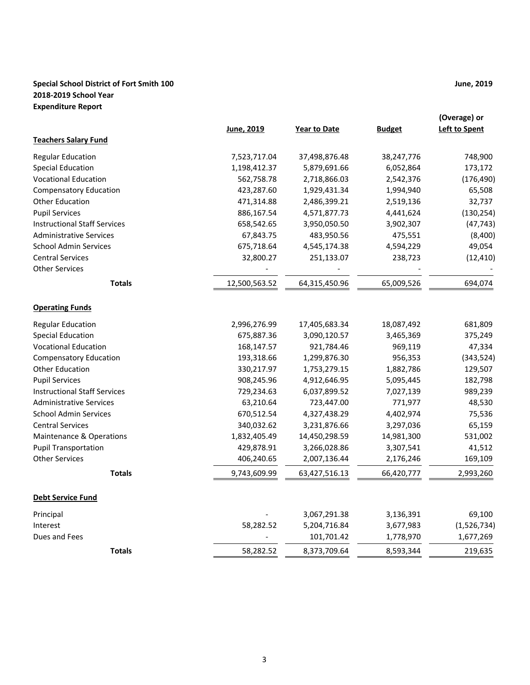## **Special School District of Fort Smith 100 June, 2019 2018-2019 School Year Expenditure Report**

|                                     | June, 2019    | <b>Year to Date</b> | <b>Budget</b> | (Overage) or<br>Left to Spent |
|-------------------------------------|---------------|---------------------|---------------|-------------------------------|
| <b>Teachers Salary Fund</b>         |               |                     |               |                               |
| <b>Regular Education</b>            | 7,523,717.04  | 37,498,876.48       | 38,247,776    | 748,900                       |
| <b>Special Education</b>            | 1,198,412.37  | 5,879,691.66        | 6,052,864     | 173,172                       |
| <b>Vocational Education</b>         | 562,758.78    | 2,718,866.03        | 2,542,376     | (176, 490)                    |
| <b>Compensatory Education</b>       | 423,287.60    | 1,929,431.34        | 1,994,940     | 65,508                        |
| <b>Other Education</b>              | 471,314.88    | 2,486,399.21        | 2,519,136     | 32,737                        |
| <b>Pupil Services</b>               | 886,167.54    | 4,571,877.73        | 4,441,624     | (130, 254)                    |
| <b>Instructional Staff Services</b> | 658,542.65    | 3,950,050.50        | 3,902,307     | (47, 743)                     |
| <b>Administrative Services</b>      | 67,843.75     | 483,950.56          | 475,551       | (8,400)                       |
| <b>School Admin Services</b>        | 675,718.64    | 4,545,174.38        | 4,594,229     | 49,054                        |
| <b>Central Services</b>             | 32,800.27     | 251,133.07          | 238,723       | (12, 410)                     |
| <b>Other Services</b>               |               |                     |               |                               |
| <b>Totals</b>                       | 12,500,563.52 | 64,315,450.96       | 65,009,526    | 694,074                       |
| <b>Operating Funds</b>              |               |                     |               |                               |
| <b>Regular Education</b>            | 2,996,276.99  | 17,405,683.34       | 18,087,492    | 681,809                       |
| <b>Special Education</b>            | 675,887.36    | 3,090,120.57        | 3,465,369     | 375,249                       |
| <b>Vocational Education</b>         | 168,147.57    | 921,784.46          | 969,119       | 47,334                        |
| <b>Compensatory Education</b>       | 193,318.66    | 1,299,876.30        | 956,353       | (343, 524)                    |
| Other Education                     | 330,217.97    | 1,753,279.15        | 1,882,786     | 129,507                       |
| <b>Pupil Services</b>               | 908,245.96    | 4,912,646.95        | 5,095,445     | 182,798                       |
| <b>Instructional Staff Services</b> | 729,234.63    | 6,037,899.52        | 7,027,139     | 989,239                       |
| <b>Administrative Services</b>      | 63,210.64     | 723,447.00          | 771,977       | 48,530                        |
| <b>School Admin Services</b>        | 670,512.54    | 4,327,438.29        | 4,402,974     | 75,536                        |
| <b>Central Services</b>             | 340,032.62    | 3,231,876.66        | 3,297,036     | 65,159                        |
| <b>Maintenance &amp; Operations</b> | 1,832,405.49  | 14,450,298.59       | 14,981,300    | 531,002                       |
| <b>Pupil Transportation</b>         | 429,878.91    | 3,266,028.86        | 3,307,541     | 41,512                        |
| <b>Other Services</b>               | 406,240.65    | 2,007,136.44        | 2,176,246     | 169,109                       |
| <b>Totals</b>                       | 9,743,609.99  | 63,427,516.13       | 66,420,777    | 2,993,260                     |
| <b>Debt Service Fund</b>            |               |                     |               |                               |
| Principal                           |               | 3,067,291.38        | 3,136,391     | 69,100                        |
| Interest                            | 58,282.52     | 5,204,716.84        | 3,677,983     | (1,526,734)                   |
| Dues and Fees                       |               | 101,701.42          | 1,778,970     | 1,677,269                     |
| <b>Totals</b>                       | 58,282.52     | 8,373,709.64        | 8,593,344     | 219,635                       |
|                                     |               |                     |               |                               |